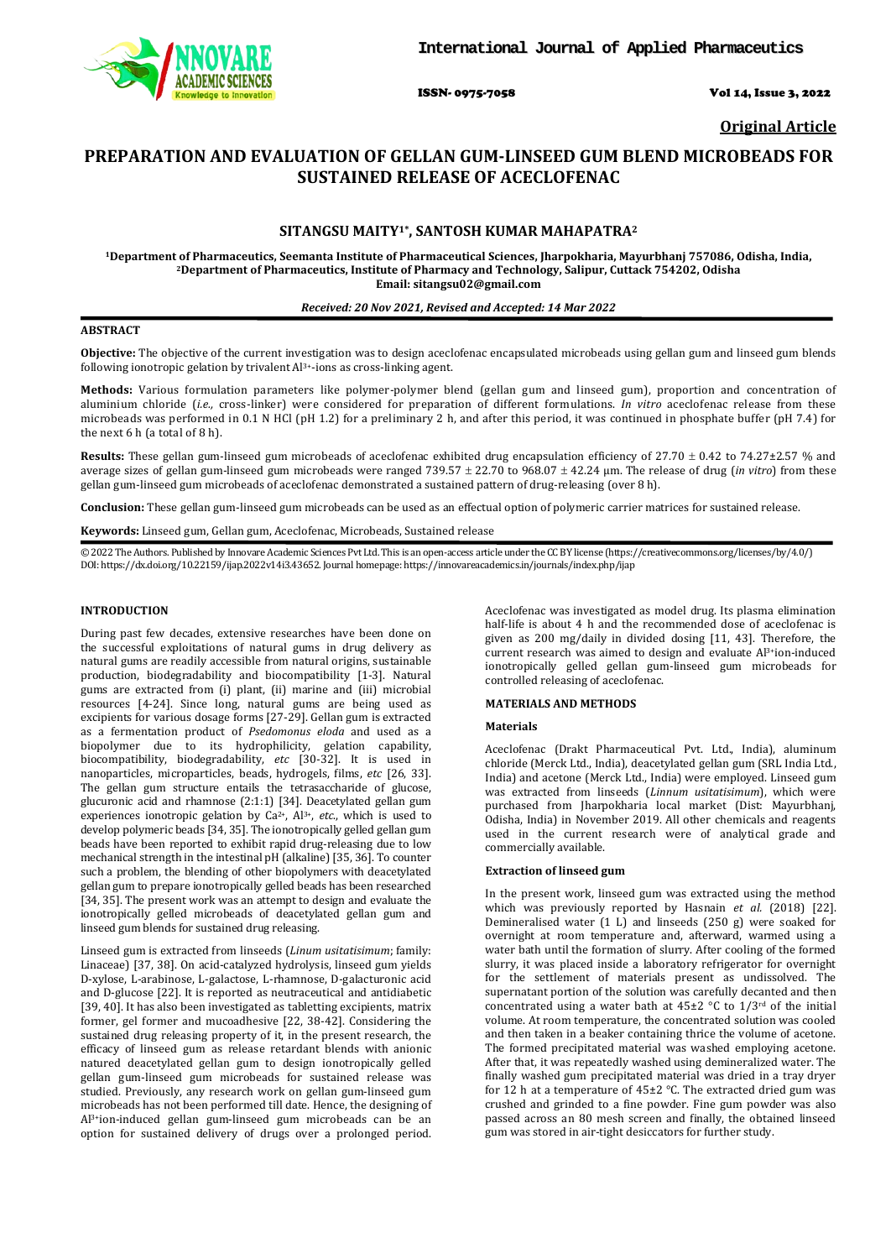

ISSN- 0975-7058 Vol 14, Issue 3, 2022

**Original Article**

# **PREPARATION AND EVALUATION OF GELLAN GUM-LINSEED GUM BLEND MICROBEADS FOR SUSTAINED RELEASE OF ACECLOFENAC**

# **SITANGSU MAITY1\*, SANTOSH KUMAR MAHAPATRA2**

<sup>1</sup>Department of Pharmaceutics, Seemanta Institute of Pharmaceutical Sciences, Jharpokharia, Mayurbhanj 757086, Odisha, India,<br><sup>2</sup>Department of Pharmaceutics, Institute of Pharmacy and Technology, Salipur, Cuttack 754202, **Email: sitangsu02@gmail.com**

#### *Received: 20 Nov 2021, Revised and Accepted: 14 Mar 2022*

#### **ABSTRACT**

**Objective:** The objective of the current investigation was to design aceclofenac encapsulated microbeads using gellan gum and linseed gum blends following ionotropic gelation by trivalent Al3+-ions as cross-linking agent.

**Methods:** Various formulation parameters like polymer-polymer blend (gellan gum and linseed gum), proportion and concentration of aluminium chloride (*i.e.*, cross-linker) were considered for preparation of different formulations. *In vitro* aceclofenac release from these microbeads was performed in 0.1 N HCl (pH 1.2) for a preliminary 2 h, and after this period, it was continued in phosphate buffer (pH 7.4) for the next 6 h (a total of 8 h).

**Results:** These gellan gum-linseed gum microbeads of aceclofenac exhibited drug encapsulation efficiency of 27.70 ± 0.42 to 74.27±2.57 % and average sizes of gellan gum-linseed gum microbeads were ranged 739.57 ± 22.70 to 968.07 ± 42.24 µm. The release of drug (*in vitro*) from these gellan gum-linseed gum microbeads of aceclofenac demonstrated a sustained pattern of drug-releasing (over 8 h).

**Conclusion:** These gellan gum-linseed gum microbeads can be used as an effectual option of polymeric carrier matrices for sustained release.

**Keywords:** Linseed gum, Gellan gum, Aceclofenac, Microbeads, Sustained release

© 2022 The Authors. Published by Innovare Academic Sciences Pvt Ltd. This is an open-access article under the CC BY license [\(https://creativecommons.org/licenses/by/4.0/\)](https://creativecommons.org/licenses/by/4.0/) DOI: https://dx.doi.org/10.22159/ijap.2022v14i3.43652. Journal homepage[: https://innovareacademics.in/journals/index.php/ijap](https://innovareacademics.in/journals/index.php/ijap)

## **INTRODUCTION**

During past few decades, extensive researches have been done on the successful exploitations of natural gums in drug delivery as natural gums are readily accessible from natural origins, sustainable production, biodegradability and biocompatibility [1-3]. Natural gums are extracted from (i) plant, (ii) marine and (iii) microbial resources [4-24]. Since long, natural gums are being used as excipients for various dosage forms [27-29]. Gellan gum is extracted as a fermentation product of *Psedomonus eloda* and used as a biopolymer due to its hydrophilicity, gelation capability, biocompatibility, biodegradability, *etc* [30-32]. It is used in nanoparticles, microparticles, beads, hydrogels, films, *etc* [26, 33]. The gellan gum structure entails the tetrasaccharide of glucose, glucuronic acid and rhamnose (2:1:1) [34]. Deacetylated gellan gum experiences ionotropic gelation by Ca2+, Al3+, *etc*., which is used to develop polymeric beads [34, 35]. The ionotropically gelled gellan gum beads have been reported to exhibit rapid drug-releasing due to low mechanical strength in the intestinal pH (alkaline) [35, 36]. To counter such a problem, the blending of other biopolymers with deacetylated gellan gum to prepare ionotropically gelled beads has been researched [34, 35]. The present work was an attempt to design and evaluate the ionotropically gelled microbeads of deacetylated gellan gum and linseed gum blends for sustained drug releasing.

Linseed gum is extracted from linseeds (*Linum usitatisimum*; family: Linaceae) [37, 38]. On acid-catalyzed hydrolysis, linseed gum yields D-xylose, L-arabinose, L-galactose, L-rhamnose, D-galacturonic acid and D-glucose [22]. It is reported as neutraceutical and antidiabetic [39, 40]. It has also been investigated as tabletting excipients, matrix former, gel former and mucoadhesive [22, 38-42]. Considering the sustained drug releasing property of it, in the present research, the efficacy of linseed gum as release retardant blends with anionic natured deacetylated gellan gum to design ionotropically gelled gellan gum-linseed gum microbeads for sustained release was studied. Previously, any research work on gellan gum-linseed gum microbeads has not been performed till date. Hence, the designing of Al3+ion-induced gellan gum-linseed gum microbeads can be an option for sustained delivery of drugs over a prolonged period.

Aceclofenac was investigated as model drug. Its plasma elimination half-life is about 4 h and the recommended dose of aceclofenac is given as 200 mg/daily in divided dosing [11, 43]. Therefore, the current research was aimed to design and evaluate Al3+ion-induced ionotropically gelled gellan gum-linseed gum microbeads for controlled releasing of aceclofenac.

#### **MATERIALS AND METHODS**

#### **Materials**

Aceclofenac (Drakt Pharmaceutical Pvt. Ltd., India), aluminum chloride (Merck Ltd., India), deacetylated gellan gum (SRL India Ltd., India) and acetone (Merck Ltd., India) were employed. Linseed gum was extracted from linseeds (*Linnum usitatisimum*), which were purchased from Jharpokharia local market (Dist: Mayurbhanj, Odisha, India) in November 2019. All other chemicals and reagents used in the current research were of analytical grade and commercially available.

#### **Extraction of linseed gum**

In the present work, linseed gum was extracted using the method which was previously reported by Hasnain *et al.* (2018) [22]. Demineralised water (1 L) and linseeds (250 g) were soaked for overnight at room temperature and, afterward, warmed using a water bath until the formation of slurry. After cooling of the formed slurry, it was placed inside a laboratory refrigerator for overnight for the settlement of materials present as undissolved. The supernatant portion of the solution was carefully decanted and then concentrated using a water bath at  $45\pm2$  °C to  $1/3$ <sup>rd</sup> of the initial volume. At room temperature, the concentrated solution was cooled and then taken in a beaker containing thrice the volume of acetone. The formed precipitated material was washed employing acetone. After that, it was repeatedly washed using demineralized water. The finally washed gum precipitated material was dried in a tray dryer for 12 h at a temperature of 45±2 °C. The extracted dried gum was crushed and grinded to a fine powder. Fine gum powder was also passed across an 80 mesh screen and finally, the obtained linseed gum was stored in air-tight desiccators for further study.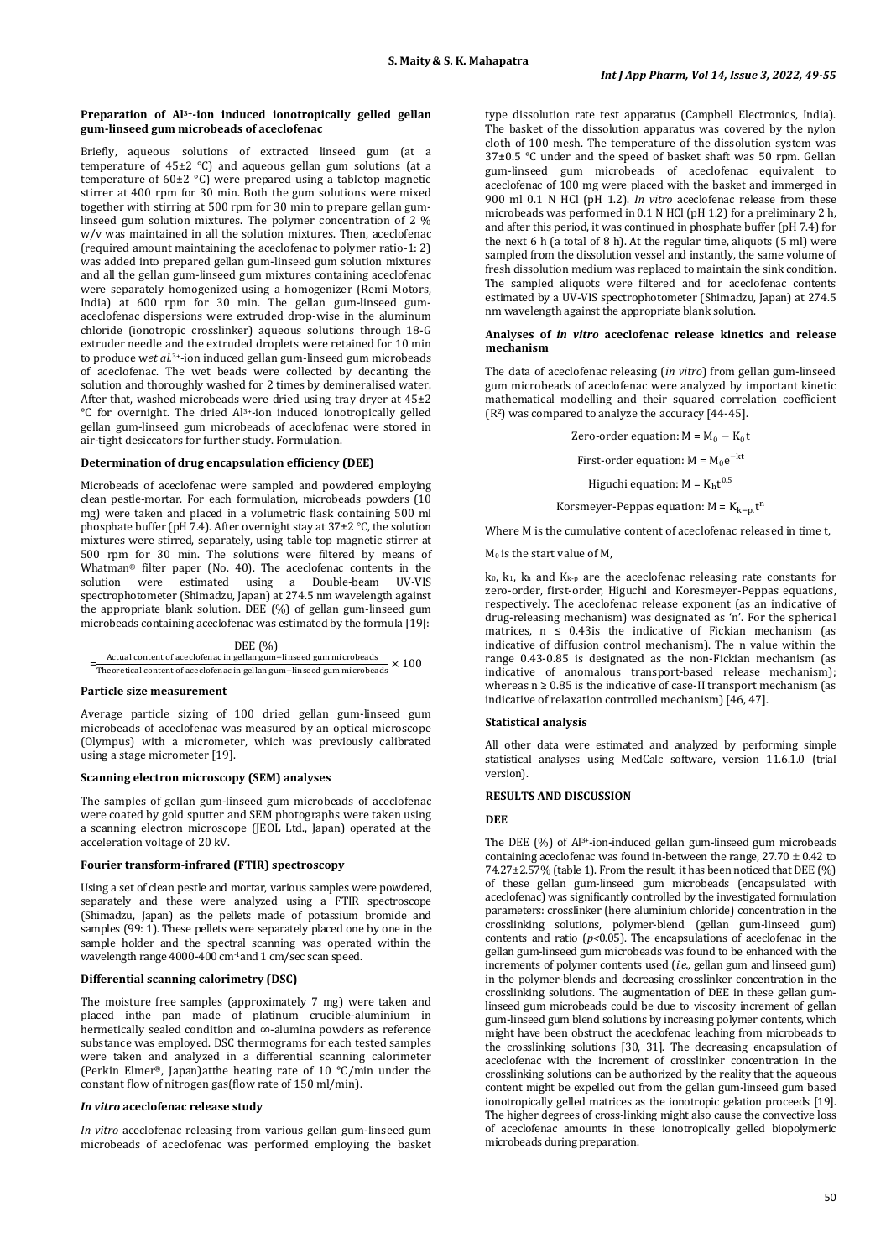# **Preparation of Al3+-ion induced ionotropically gelled gellan gum-linseed gum microbeads of aceclofenac**

Briefly, aqueous solutions of extracted linseed gum (at a temperature of 45±2 °C) and aqueous gellan gum solutions (at a temperature of 60±2 °C) were prepared using a tabletop magnetic stirrer at 400 rpm for 30 min. Both the gum solutions were mixed together with stirring at 500 rpm for 30 min to prepare gellan gumlinseed gum solution mixtures. The polymer concentration of 2 % w/v was maintained in all the solution mixtures. Then, aceclofenac (required amount maintaining the aceclofenac to polymer ratio-1: 2) was added into prepared gellan gum-linseed gum solution mixtures and all the gellan gum-linseed gum mixtures containing aceclofenac were separately homogenized using a homogenizer (Remi Motors, India) at 600 rpm for 30 min. The gellan gum-linseed gumaceclofenac dispersions were extruded drop-wise in the aluminum chloride (ionotropic crosslinker) aqueous solutions through 18-G extruder needle and the extruded droplets were retained for 10 min to produce w*et al.*3+-ion induced gellan gum-linseed gum microbeads of aceclofenac. The wet beads were collected by decanting the solution and thoroughly washed for 2 times by demineralised water. After that, washed microbeads were dried using tray dryer at  $45\pm2$ °C for overnight. The dried Al3+-ion induced ionotropically gelled gellan gum-linseed gum microbeads of aceclofenac were stored in air-tight desiccators for further study. Formulation.

#### **Determination of drug encapsulation efficiency (DEE)**

Microbeads of aceclofenac were sampled and powdered employing clean pestle-mortar. For each formulation, microbeads powders (10 mg) were taken and placed in a volumetric flask containing 500 ml phosphate buffer (pH 7.4). After overnight stay at 37±2 °C, the solution mixtures were stirred, separately, using table top magnetic stirrer at 500 rpm for 30 min. The solutions were filtered by means of Whatman® filter paper (No. 40). The aceclofenac contents in the solution were estimated using a Double-beam UV-VIS spectrophotometer (Shimadzu, Japan) at 274.5 nm wavelength against the appropriate blank solution. DEE (%) of gellan gum-linseed gum microbeads containing aceclofenac was estimated by the formula [19]:

# DEE (%) = Actual content of aceclofenac in gellan gum−linseed gum microbeads × 100<br>Theoretical content of aceclofenac in gellan gum−linseed gum microbeads × 100

#### **Particle size measurement**

Average particle sizing of 100 dried gellan gum-linseed gum microbeads of aceclofenac was measured by an optical microscope (Olympus) with a micrometer, which was previously calibrated using a stage micrometer [19].

#### **Scanning electron microscopy (SEM) analyses**

The samples of gellan gum-linseed gum microbeads of aceclofenac were coated by gold sputter and SEM photographs were taken using a scanning electron microscope (JEOL Ltd., Japan) operated at the acceleration voltage of 20 kV.

## **Fourier transform-infrared (FTIR) spectroscopy**

Using a set of clean pestle and mortar, various samples were powdered, separately and these were analyzed using a FTIR spectroscope (Shimadzu, Japan) as the pellets made of potassium bromide and samples (99: 1). These pellets were separately placed one by one in the sample holder and the spectral scanning was operated within the wavelength range 4000-400 cm-1and 1 cm/sec scan speed.

# **Differential scanning calorimetry (DSC)**

The moisture free samples (approximately 7 mg) were taken and placed inthe pan made of platinum crucible-aluminium in hermetically sealed condition and ∞-alumina powders as reference substance was employed. DSC thermograms for each tested samples were taken and analyzed in a differential scanning calorimeter (Perkin Elmer®, Japan)atthe heating rate of 10 °C/min under the constant flow of nitrogen gas(flow rate of 150 ml/min).

#### *In vitro* **aceclofenac release study**

*In vitro* aceclofenac releasing from various gellan gum-linseed gum microbeads of aceclofenac was performed employing the basket

type dissolution rate test apparatus (Campbell Electronics, India). The basket of the dissolution apparatus was covered by the nylon cloth of 100 mesh. The temperature of the dissolution system was 37±0.5 °C under and the speed of basket shaft was 50 rpm. Gellan gum-linseed gum microbeads of aceclofenac equivalent to aceclofenac of 100 mg were placed with the basket and immerged in 900 ml 0.1 N HCl (pH 1.2). *In vitro* aceclofenac release from these microbeads was performed in 0.1 N HCl (pH 1.2) for a preliminary 2 h, and after this period, it was continued in phosphate buffer (pH 7.4) for the next 6 h (a total of 8 h). At the regular time, aliquots  $(5 \text{ ml})$  were sampled from the dissolution vessel and instantly, the same volume of fresh dissolution medium was replaced to maintain the sink condition. The sampled aliquots were filtered and for aceclofenac contents estimated by a UV-VIS spectrophotometer (Shimadzu, Japan) at 274.5 nm wavelength against the appropriate blank solution.

#### **Analyses of** *in vitro* **aceclofenac release kinetics and release mechanism**

The data of aceclofenac releasing (*in vitro*) from gellan gum-linseed gum microbeads of aceclofenac were analyzed by important kinetic mathematical modelling and their squared correlation coefficient  $(R<sup>2</sup>)$  was compared to analyze the accuracy  $[44-45]$ .

Zero-order equation:  $M = M_0 - K_0t$ 

First-order equation:  $M = M_0 e^{-kt}$ 

Higuchi equation:  $M = K<sub>b</sub>t<sup>0.5</sup>$ 

Korsmeyer-Peppas equation:  $M = K_{k-p} t^{n}$ 

Where M is the cumulative content of aceclofenac released in time t,

 $M_0$  is the start value of M,

 $k_0$ ,  $k_1$ ,  $k_h$  and  $K_{k-p}$  are the aceclofenac releasing rate constants for zero-order, first-order, Higuchi and Koresmeyer-Peppas equations, respectively. The aceclofenac release exponent (as an indicative of drug-releasing mechanism) was designated as 'n'. For the spherical matrices,  $n \leq 0.43$  is the indicative of Fickian mechanism (as indicative of diffusion control mechanism). The n value within the range 0.43-0.85 is designated as the non-Fickian mechanism (as indicative of anomalous transport-based release mechanism); whereas  $n \geq 0.85$  is the indicative of case-II transport mechanism (as indicative of relaxation controlled mechanism) [46, 47].

#### **Statistical analysis**

All other data were estimated and analyzed by performing simple statistical analyses using MedCalc software, version 11.6.1.0 (trial version).

#### **RESULTS AND DISCUSSION**

## **DEE**

The DEE (%) of Al<sup>3+</sup>-ion-induced gellan gum-linseed gum microbeads containing aceclofenac was found in-between the range,  $27.70 \pm 0.42$  to 74.27±2.57% (table 1). From the result, it has been noticed that DEE (%) of these gellan gum-linseed gum microbeads (encapsulated with aceclofenac) was significantly controlled by the investigated formulation parameters: crosslinker (here aluminium chloride) concentration in the crosslinking solutions, polymer-blend (gellan gum-linseed gum) contents and ratio (*p<*0.05). The encapsulations of aceclofenac in the gellan gum-linseed gum microbeads was found to be enhanced with the increments of polymer contents used (*i.e.,* gellan gum and linseed gum) in the polymer-blends and decreasing crosslinker concentration in the crosslinking solutions. The augmentation of DEE in these gellan gumlinseed gum microbeads could be due to viscosity increment of gellan gum-linseed gum blend solutions by increasing polymer contents, which might have been obstruct the aceclofenac leaching from microbeads to the crosslinking solutions [30, 31]. The decreasing encapsulation of aceclofenac with the increment of crosslinker concentration in the crosslinking solutions can be authorized by the reality that the aqueous content might be expelled out from the gellan gum-linseed gum based ionotropically gelled matrices as the ionotropic gelation proceeds [19]. The higher degrees of cross-linking might also cause the convective loss of aceclofenac amounts in these ionotropically gelled biopolymeric microbeads during preparation.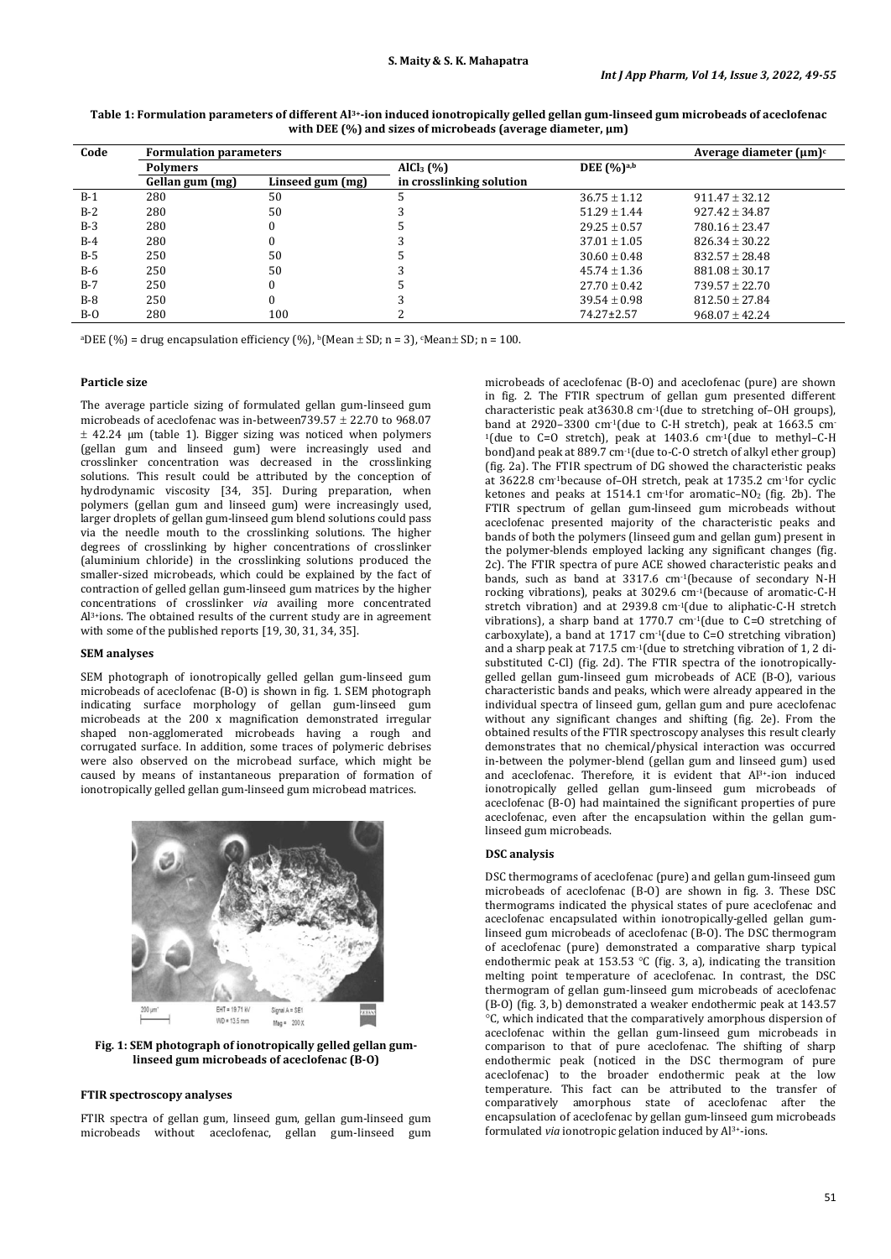| Code  | <b>Formulation parameters</b> | Average diameter $(\mu m)^c$ |                          |                            |                    |
|-------|-------------------------------|------------------------------|--------------------------|----------------------------|--------------------|
|       | <b>Polymers</b>               |                              | AICl <sub>3</sub> (%)    | DEE $(\%$ ) <sup>a,b</sup> |                    |
|       | Gellan gum (mg)               | Linseed gum (mg)             | in crosslinking solution |                            |                    |
| $B-1$ | 280                           | 50                           |                          | $36.75 \pm 1.12$           | $911.47 \pm 32.12$ |
| $B-2$ | 280                           | 50                           |                          | $51.29 + 1.44$             | $927.42 \pm 34.87$ |
| $B-3$ | 280                           |                              |                          | $29.25 \pm 0.57$           | $780.16 \pm 23.47$ |
| B-4   | 280                           |                              |                          | $37.01 \pm 1.05$           | $826.34 \pm 30.22$ |
| $B-5$ | 250                           | 50                           |                          | $30.60 \pm 0.48$           | $832.57 + 28.48$   |
| $B-6$ | 250                           | 50                           |                          | $45.74 + 1.36$             | $881.08 + 30.17$   |
| $B-7$ | 250                           |                              |                          | $27.70 \pm 0.42$           | $739.57 + 22.70$   |
| $B-8$ | 250                           |                              |                          | $39.54 \pm 0.98$           | $812.50 \pm 27.84$ |
| $B-O$ | 280                           | 100                          |                          | $74.27 \pm 2.57$           | $968.07 \pm 42.24$ |

**Table 1: Formulation parameters of different Al3+-ion induced ionotropically gelled gellan gum-linseed gum microbeads of aceclofenac with DEE (%) and sizes of microbeads (average diameter, μm)**

<sup>a</sup>DEE (%) = drug encapsulation efficiency (%),  $\frac{b}{m}$  (Mean  $\pm$  SD; n = 3),  $\frac{m}{m}$  (Mean $\pm$  SD; n = 100.

#### **Particle size**

The average particle sizing of formulated gellan gum-linseed gum microbeads of aceclofenac was in-between  $\overline{739.57 \pm 22.70}$  to  $968.07$  $\pm$  42.24 µm (table 1). Bigger sizing was noticed when polymers (gellan gum and linseed gum) were increasingly used and crosslinker concentration was decreased in the crosslinking solutions. This result could be attributed by the conception of hydrodynamic viscosity [34, 35]. During preparation, when polymers (gellan gum and linseed gum) were increasingly used, larger droplets of gellan gum-linseed gum blend solutions could pass via the needle mouth to the crosslinking solutions. The higher degrees of crosslinking by higher concentrations of crosslinker (aluminium chloride) in the crosslinking solutions produced the smaller-sized microbeads, which could be explained by the fact of contraction of gelled gellan gum-linseed gum matrices by the higher concentrations of crosslinker *via* availing more concentrated Al3+ions. The obtained results of the current study are in agreement with some of the published reports [19, 30, 31, 34, 35].

## **SEM analyses**

SEM photograph of ionotropically gelled gellan gum-linseed gum microbeads of aceclofenac (B-O) is shown in fig. 1. SEM photograph indicating surface morphology of gellan gum-linseed gum microbeads at the 200 x magnification demonstrated irregular shaped non-agglomerated microbeads having a rough and corrugated surface. In addition, some traces of polymeric debrises were also observed on the microbead surface, which might be caused by means of instantaneous preparation of formation of ionotropically gelled gellan gum-linseed gum microbead matrices.



**Fig. 1: SEM photograph of ionotropically gelled gellan gumlinseed gum microbeads of aceclofenac (B-O)**

# **FTIR spectroscopy analyses**

FTIR spectra of gellan gum, linseed gum, gellan gum-linseed gum<br>microbeads without aceclofenac. gellan gum-linseed gum microbeads without aceclofenac, gellan gum-linseed

microbeads of aceclofenac (B-O) and aceclofenac (pure) are shown in fig. 2. The FTIR spectrum of gellan gum presented different characteristic peak at3630.8 cm-1(due to stretching of–OH groups), band at 2920–3300 cm<sup>-1</sup>(due to C-H stretch), peak at  $1663.5$  cm<sup>-1</sup> <sup>1</sup>(due to C=O stretch), peak at  $1403.6$  cm<sup>-1</sup>(due to methyl-C-H bond)and peak at 889.7 cm-1(due to-C-O stretch of alkyl ether group) (fig. 2a). The FTIR spectrum of DG showed the characteristic peaks at 3622.8 cm-1because of–OH stretch, peak at 1735.2 cm-1for cyclic ketones and peaks at 1514.1 cm<sup>-1</sup>for aromatic–NO<sub>2</sub> (fig. 2b). The FTIR spectrum of gellan gum-linseed gum microbeads without aceclofenac presented majority of the characteristic peaks and bands of both the polymers (linseed gum and gellan gum) present in the polymer-blends employed lacking any significant changes (fig. 2c). The FTIR spectra of pure ACE showed characteristic peaks and bands, such as band at 3317.6 cm-1(because of secondary N-H rocking vibrations), peaks at 3029.6 cm-1(because of aromatic-C-H stretch vibration) and at 2939.8 cm-1(due to aliphatic-C-H stretch vibrations), a sharp band at 1770.7 cm-1(due to C=O stretching of carboxylate), a band at 1717 cm-1(due to C=O stretching vibration) and a sharp peak at 717.5 cm-1(due to stretching vibration of 1, 2 disubstituted C-Cl) (fig. 2d). The FTIR spectra of the ionotropicallygelled gellan gum-linseed gum microbeads of ACE (B-O), various characteristic bands and peaks, which were already appeared in the individual spectra of linseed gum, gellan gum and pure aceclofenac without any significant changes and shifting (fig. 2e). From the obtained results of the FTIR spectroscopy analyses this result clearly demonstrates that no chemical/physical interaction was occurred in-between the polymer-blend (gellan gum and linseed gum) used and aceclofenac. Therefore, it is evident that Al<sup>3+</sup>-ion induced ionotropically gelled gellan gum-linseed gum microbeads of aceclofenac (B-O) had maintained the significant properties of pure aceclofenac, even after the encapsulation within the gellan gumlinseed gum microbeads.

# **DSC analysis**

DSC thermograms of aceclofenac (pure) and gellan gum-linseed gum microbeads of aceclofenac (B-O) are shown in fig. 3. These DSC thermograms indicated the physical states of pure aceclofenac and aceclofenac encapsulated within ionotropically-gelled gellan gumlinseed gum microbeads of aceclofenac (B-O). The DSC thermogram of aceclofenac (pure) demonstrated a comparative sharp typical endothermic peak at 153.53 °C (fig. 3, a), indicating the transition melting point temperature of aceclofenac. In contrast, the DSC thermogram of gellan gum-linseed gum microbeads of aceclofenac (B-O) (fig. 3, b) demonstrated a weaker endothermic peak at 143.57 °C, which indicated that the comparatively amorphous dispersion of aceclofenac within the gellan gum-linseed gum microbeads in comparison to that of pure aceclofenac. The shifting of sharp endothermic peak (noticed in the DSC thermogram of pure aceclofenac) to the broader endothermic peak at the low temperature. This fact can be attributed to the transfer of comparatively amorphous state of aceclofenac after the encapsulation of aceclofenac by gellan gum-linseed gum microbeads formulated *via* ionotropic gelation induced by Al3+-ions.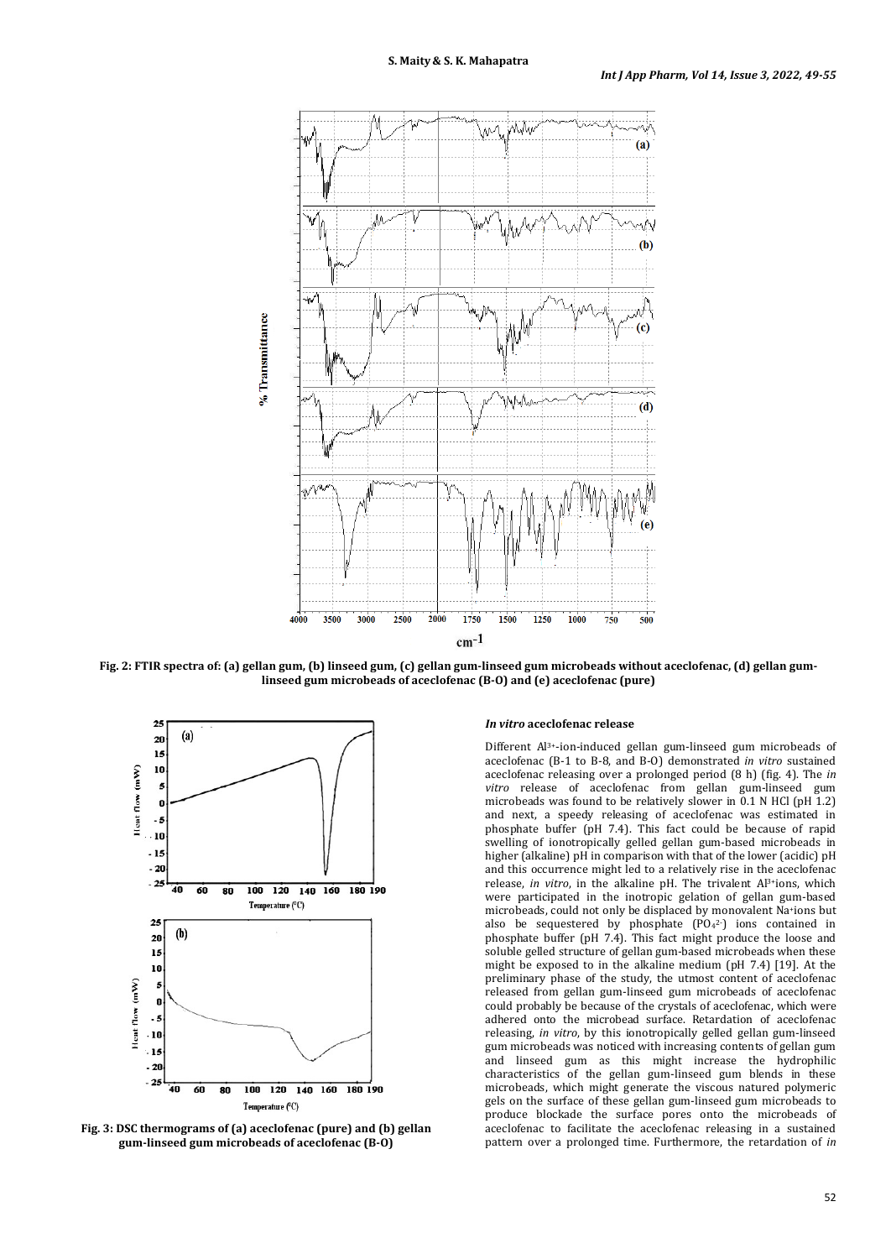

**Fig. 2: FTIR spectra of: (a) gellan gum, (b) linseed gum, (c) gellan gum-linseed gum microbeads without aceclofenac, (d) gellan gumlinseed gum microbeads of aceclofenac (B-O) and (e) aceclofenac (pure)**



**Fig. 3: DSC thermograms of (a) aceclofenac (pure) and (b) gellan gum-linseed gum microbeads of aceclofenac (B-O)**

## *In vitro* **aceclofenac release**

Different Al3+-ion-induced gellan gum-linseed gum microbeads of aceclofenac (B-1 to B-8, and B-O) demonstrated *in vitro* sustained aceclofenac releasing over a prolonged period (8 h) (fig. 4). The *in vitro* release of aceclofenac from gellan gum-linseed gum microbeads was found to be relatively slower in 0.1 N HCl (pH 1.2) and next, a speedy releasing of aceclofenac was estimated in phosphate buffer (pH 7.4). This fact could be because of rapid swelling of ionotropically gelled gellan gum-based microbeads in higher (alkaline) pH in comparison with that of the lower (acidic) pH and this occurrence might led to a relatively rise in the aceclofenac release, *in vitro*, in the alkaline pH. The trivalent Al3+ions, which were participated in the inotropic gelation of gellan gum-based microbeads, could not only be displaced by monovalent Na+ions but also be sequestered by phosphate  $(PO<sub>4</sub><sup>2</sup>$  ions contained in phosphate buffer (pH 7.4). This fact might produce the loose and soluble gelled structure of gellan gum-based microbeads when these might be exposed to in the alkaline medium (pH 7.4) [19]. At the preliminary phase of the study, the utmost content of aceclofenac released from gellan gum-linseed gum microbeads of aceclofenac could probably be because of the crystals of aceclofenac, which were adhered onto the microbead surface. Retardation of aceclofenac releasing, *in vitro*, by this ionotropically gelled gellan gum-linseed gum microbeads was noticed with increasing contents of gellan gum and linseed gum as this might increase the hydrophilic characteristics of the gellan gum-linseed gum blends in these microbeads, which might generate the viscous natured polymeric gels on the surface of these gellan gum-linseed gum microbeads to produce blockade the surface pores onto the microbeads of aceclofenac to facilitate the aceclofenac releasing in a sustained pattern over a prolonged time. Furthermore, the retardation of *in*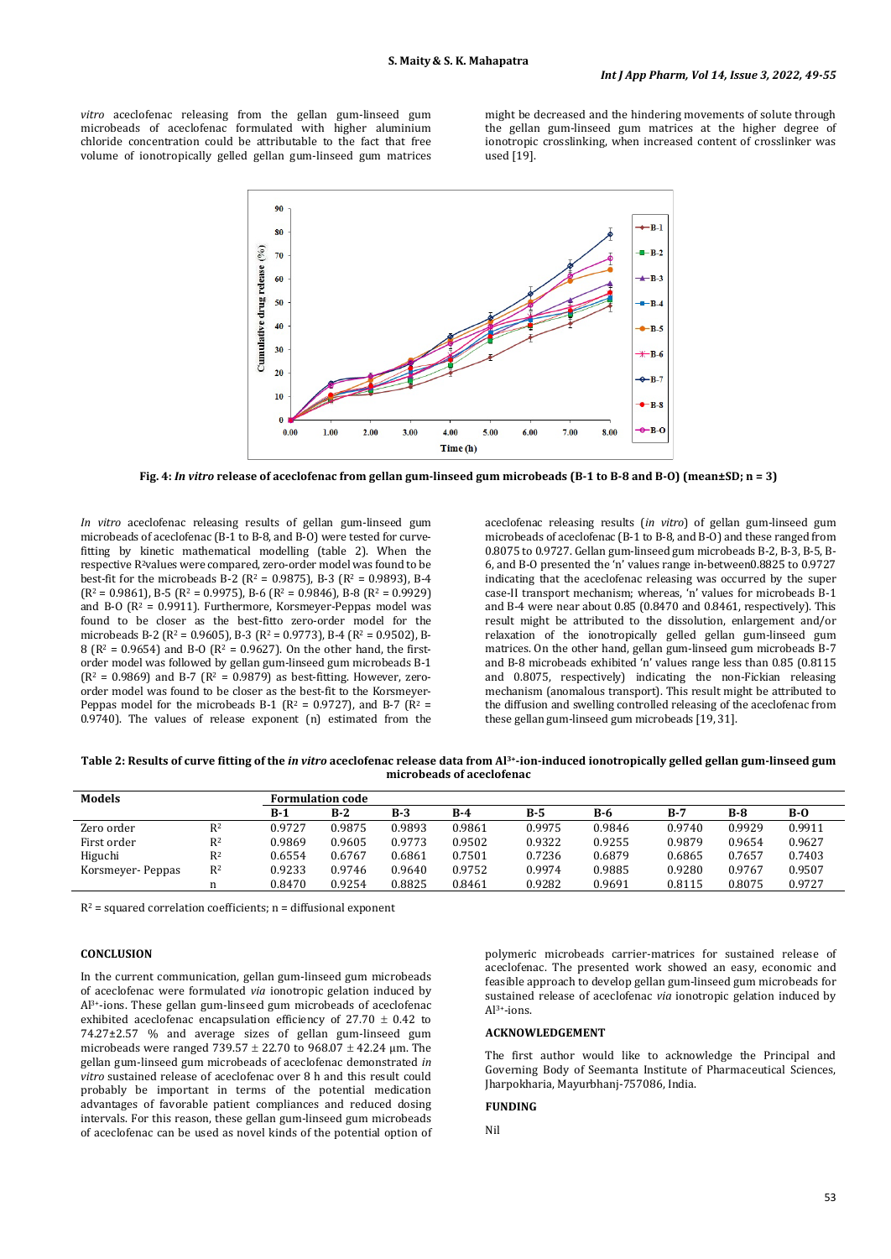*vitro* aceclofenac releasing from the gellan gum-linseed gum microbeads of aceclofenac formulated with higher aluminium chloride concentration could be attributable to the fact that free volume of ionotropically gelled gellan gum-linseed gum matrices

might be decreased and the hindering movements of solute through the gellan gum-linseed gum matrices at the higher degree of ionotropic crosslinking, when increased content of crosslinker was used [19].



**Fig. 4:** *In vitro* **release of aceclofenac from gellan gum-linseed gum microbeads (B-1 to B-8 and B-O) (mean±SD; n = 3)**

*In vitro* aceclofenac releasing results of gellan gum-linseed gum microbeads of aceclofenac (B-1 to B-8, and B-O) were tested for curvefitting by kinetic mathematical modelling (table 2). When the respective R2values were compared, zero-order model was found to be best-fit for the microbeads B-2 ( $R^2$  = 0.9875), B-3 ( $R^2$  = 0.9893), B-4  $(R<sup>2</sup> = 0.9861)$ , B-5  $(R<sup>2</sup> = 0.9975)$ , B-6  $(R<sup>2</sup> = 0.9846)$ , B-8  $(R<sup>2</sup> = 0.9929)$ and B-O ( $R^2$  = 0.9911). Furthermore, Korsmeyer-Peppas model was found to be closer as the best-fitto zero-order model for the microbeads B-2 ( $R^2$  = 0.9605), B-3 ( $R^2$  = 0.9773), B-4 ( $R^2$  = 0.9502), B-8 ( $R^2$  = 0.9654) and B-O ( $R^2$  = 0.9627). On the other hand, the firstorder model was followed by gellan gum-linseed gum microbeads B-1  $(R<sup>2</sup> = 0.9869)$  and B-7  $(R<sup>2</sup> = 0.9879)$  as best-fitting. However, zeroorder model was found to be closer as the best-fit to the Korsmeyer-Peppas model for the microbeads B-1 ( $R^2$  = 0.9727), and B-7 ( $R^2$  = 0.9740). The values of release exponent (n) estimated from the

aceclofenac releasing results (*in vitro*) of gellan gum-linseed gum microbeads of aceclofenac (B-1 to B-8, and B-O) and these ranged from 0.8075 to 0.9727. Gellan gum-linseed gum microbeads B-2, B-3, B-5, B-6, and B-O presented the 'n' values range in-between0.8825 to 0.9727 indicating that the aceclofenac releasing was occurred by the super case-II transport mechanism; whereas, 'n' values for microbeads B-1 and B-4 were near about 0.85 (0.8470 and 0.8461, respectively). This result might be attributed to the dissolution, enlargement and/or relaxation of the ionotropically gelled gellan gum-linseed gum matrices. On the other hand, gellan gum-linseed gum microbeads B-7 and B-8 microbeads exhibited 'n' values range less than 0.85 (0.8115 and 0.8075, respectively) indicating the non-Fickian releasing mechanism (anomalous transport). This result might be attributed to the diffusion and swelling controlled releasing of the aceclofenac from these gellan gum-linseed gum microbeads [19, 31].

**Table 2: Results of curve fitting of the** *in vitro* **aceclofenac release data from Al3+-ion-induced ionotropically gelled gellan gum-linseed gum microbeads of aceclofenac**

| <b>Models</b>     |       | Formulation code |        |        |        |        |        |        |        |        |  |
|-------------------|-------|------------------|--------|--------|--------|--------|--------|--------|--------|--------|--|
|                   |       | $B-1$            | $B-2$  | $B-3$  | $B-4$  | $B-5$  | B-6    | $B-7$  | $B-8$  | $B-0$  |  |
| Zero order        | $R^2$ | 0.9727           | 0.9875 | 0.9893 | 0.9861 | 0.9975 | 0.9846 | 0.9740 | 0.9929 | 0.9911 |  |
| First order       | $R^2$ | 0.9869           | 0.9605 | 0.9773 | 0.9502 | 0.9322 | 0.9255 | 0.9879 | 0.9654 | 0.9627 |  |
| Higuchi           | $R^2$ | 0.6554           | 0.6767 | 0.6861 | 0.7501 | 0.7236 | 0.6879 | 0.6865 | 0.7657 | 0.7403 |  |
| Korsmeyer- Peppas | $R^2$ | 0.9233           | 0.9746 | 0.9640 | 0.9752 | 0.9974 | 0.9885 | 0.9280 | 0.9767 | 0.9507 |  |
|                   |       | 0.8470           | 0.9254 | 0.8825 | 0.8461 | 0.9282 | 0.9691 | 0.8115 | 0.8075 | 0.9727 |  |

 $R^2$  = squared correlation coefficients; n = diffusional exponent

#### **CONCLUSION**

In the current communication, gellan gum-linseed gum microbeads of aceclofenac were formulated *via* ionotropic gelation induced by Al3+-ions. These gellan gum-linseed gum microbeads of aceclofenac exhibited aceclofenac encapsulation efficiency of  $27.70 \pm 0.42$  to 74.27±2.57 % and average sizes of gellan gum-linseed gum microbeads were ranged 739.57  $\pm$  22.70 to 968.07  $\pm$  42.24 µm. The gellan gum-linseed gum microbeads of aceclofenac demonstrated *in vitro* sustained release of aceclofenac over 8 h and this result could probably be important in terms of the potential medication advantages of favorable patient compliances and reduced dosing intervals. For this reason, these gellan gum-linseed gum microbeads of aceclofenac can be used as novel kinds of the potential option of polymeric microbeads carrier-matrices for sustained release of aceclofenac. The presented work showed an easy, economic and feasible approach to develop gellan gum-linseed gum microbeads for sustained release of aceclofenac *via* ionotropic gelation induced by Al3+-ions.

#### **ACKNOWLEDGEMENT**

The first author would like to acknowledge the Principal and Governing Body of Seemanta Institute of Pharmaceutical Sciences, Jharpokharia, Mayurbhanj-757086, India.

#### **FUNDING**

Nil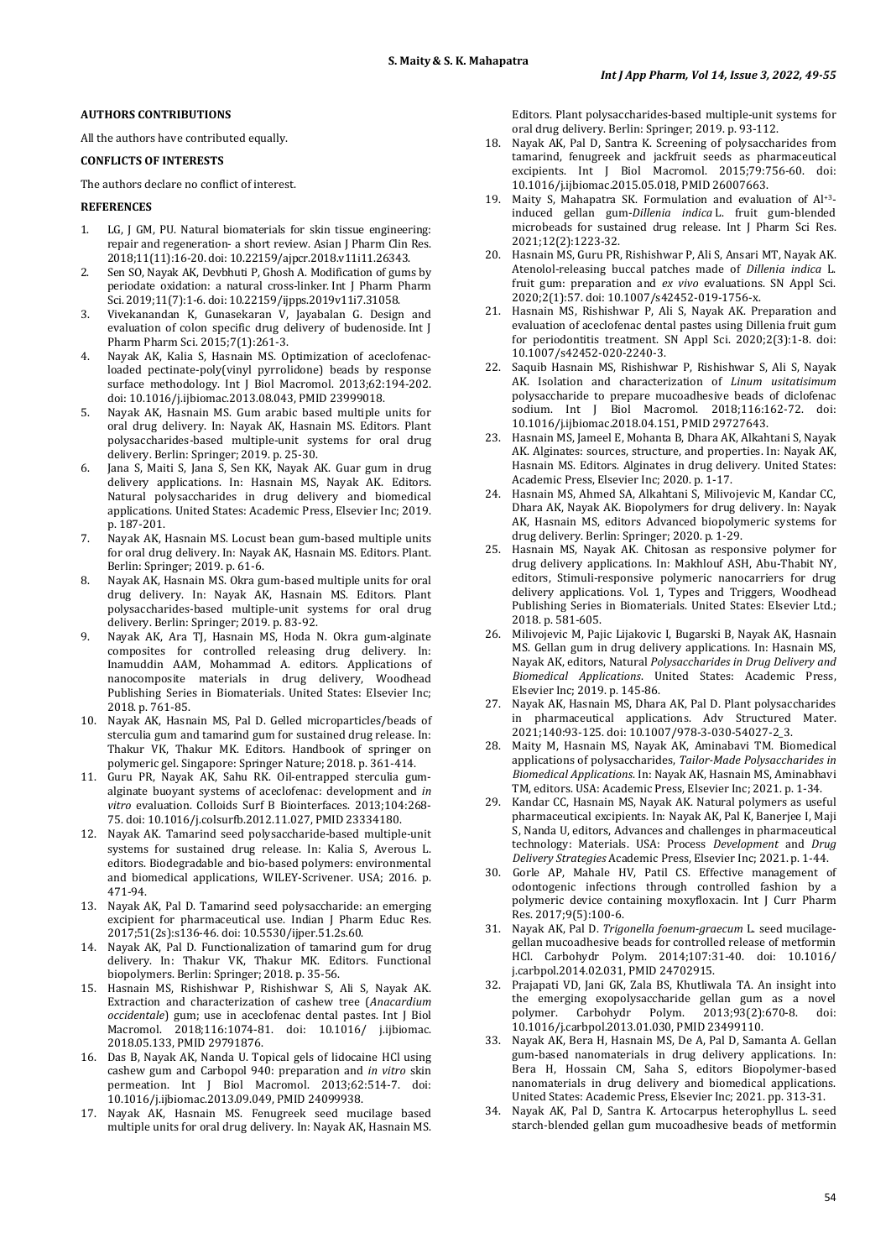# **AUTHORS CONTRIBUTIONS**

All the authors have contributed equally.

# **CONFLICTS OF INTERESTS**

The authors declare no conflict of interest.

# **REFERENCES**

- LG, J GM, PU. Natural biomaterials for skin tissue engineering: repair and regeneration- a short review. Asian J Pharm Clin Res. 2018;11(11):16-20. doi[: 10.22159/ajpcr.2018.v11i11.26343.](https://doi.org/10.22159/ajpcr.2018.v11i11.26343)
- 2. Sen SO, Nayak AK, Devbhuti P, Ghosh A. Modification of gums by periodate oxidation: a natural cross-linker. Int J Pharm Pharm Sci. 2019;11(7):1-6. doi[: 10.22159/ijpps.2019v11i7.31058.](https://doi.org/10.22159/ijpps.2019v11i7.31058)
- 3. Vivekanandan K, Gunasekaran V, Jayabalan G. Design and evaluation of colon specific drug delivery of budenoside. Int J Pharm Pharm Sci. 2015;7(1):261-3.
- 4. Nayak AK, Kalia S, Hasnain MS. Optimization of aceclofenacloaded pectinate-poly(vinyl pyrrolidone) beads by response surface methodology. Int J Biol Macromol. 2013;62:194-202. doi: [10.1016/j.ijbiomac.2013.08.043,](https://doi.org/10.1016/j.ijbiomac.2013.08.043) PMID [23999018.](https://www.ncbi.nlm.nih.gov/pubmed/23999018)
- 5. Nayak AK, Hasnain MS. Gum arabic based multiple units for oral drug delivery. In: Nayak AK, Hasnain MS. Editors. Plant polysaccharides-based multiple-unit systems for oral drug delivery. Berlin: Springer; 2019. p. 25-30.
- 6. Jana S, Maiti S, Jana S, Sen KK, Nayak AK. Guar gum in drug delivery applications. In: Hasnain MS, Nayak AK. Editors. Natural polysaccharides in drug delivery and biomedical applications. United States: Academic Press, Elsevier Inc; 2019. p. 187-201.
- 7. Nayak AK, Hasnain MS. Locust bean gum-based multiple units for oral drug delivery. In: Nayak AK, Hasnain MS. Editors. Plant. Berlin: Springer; 2019. p. 61-6.
- 8. Nayak AK, Hasnain MS. Okra gum-based multiple units for oral drug delivery. In: Nayak AK, Hasnain MS. Editors. Plant polysaccharides-based multiple-unit systems for oral drug delivery. Berlin: Springer; 2019. p. 83-92.
- 9. Nayak AK, Ara TJ, Hasnain MS, Hoda N. Okra gum-alginate composites for controlled releasing drug delivery. In: Inamuddin AAM, Mohammad A. editors. Applications of nanocomposite materials in drug delivery, Woodhead Publishing Series in Biomaterials. United States: Elsevier Inc; 2018. p. 761-85.
- 10. Nayak AK, Hasnain MS, Pal D. Gelled microparticles/beads of sterculia gum and tamarind gum for sustained drug release. In: Thakur VK, Thakur MK. Editors. Handbook of springer on polymeric gel. Singapore: Springer Nature; 2018. p. 361-414.
- 11. Guru PR, Nayak AK, Sahu RK. Oil-entrapped sterculia gumalginate buoyant systems of aceclofenac: development and *in vitro* evaluation. Colloids Surf B Biointerfaces. 2013;104:268- 75. doi[: 10.1016/j.colsurfb.2012.11.027,](https://doi.org/10.1016/j.colsurfb.2012.11.027) PMID [23334180.](https://www.ncbi.nlm.nih.gov/pubmed/23334180)
- 12. Nayak AK. Tamarind seed polysaccharide-based multiple-unit systems for sustained drug release. In: Kalia S, Averous L. editors. Biodegradable and bio-based polymers: environmental and biomedical applications, WILEY-Scrivener. USA; 2016. p. 471-94.
- 13. Nayak AK, Pal D. Tamarind seed polysaccharide: an emerging excipient for pharmaceutical use. Indian J Pharm Educ Res. 2017;51(2s):s136-46. doi[: 10.5530/ijper.51.2s.60.](https://doi.org/10.5530/ijper.51.2s.60)
- 14. Nayak AK, Pal D. Functionalization of tamarind gum for drug delivery. In: Thakur VK, Thakur MK. Editors. Functional biopolymers. Berlin: Springer; 2018. p. 35-56.
- 15. Hasnain MS, Rishishwar P, Rishishwar S, Ali S, Nayak AK. Extraction and characterization of cashew tree (*Anacardium occidentale*) gum; use in aceclofenac dental pastes. Int J Biol Macromol. 2018;116:1074-81. doi: 10.1016/ [j.ijbiomac.](https://doi.org/10.1016/j.ijbiomac.2018.05.133) [2018.05.133,](https://doi.org/10.1016/j.ijbiomac.2018.05.133) PMI[D 29791876.](https://www.ncbi.nlm.nih.gov/pubmed/29791876)
- 16. Das B, Nayak AK, Nanda U. Topical gels of lidocaine HCl using cashew gum and Carbopol 940: preparation and *in vitro* skin permeation. Int J Biol Macromol. 2013;62:514-7. doi: [10.1016/j.ijbiomac.2013.09.049,](https://doi.org/10.1016/j.ijbiomac.2013.09.049) PMI[D 24099938.](https://www.ncbi.nlm.nih.gov/pubmed/24099938)
- 17. Nayak AK, Hasnain MS. Fenugreek seed mucilage based multiple units for oral drug delivery. In: Nayak AK, Hasnain MS.

Editors. Plant polysaccharides-based multiple-unit systems for oral drug delivery. Berlin: Springer; 2019. p. 93-112.

- 18. Nayak AK, Pal D, Santra K. Screening of polysaccharides from tamarind, fenugreek and jackfruit seeds as pharmaceutical excipients. Int J Biol Macromol. 2015;79:756-60. doi: [10.1016/j.ijbiomac.2015.05.018,](https://doi.org/10.1016/j.ijbiomac.2015.05.018) PMI[D 26007663.](https://www.ncbi.nlm.nih.gov/pubmed/26007663)
- 19. Maity S, Mahapatra SK. Formulation and evaluation of Al+3 induced gellan gum-*Dillenia indica* L. fruit gum-blended microbeads for sustained drug release. Int J Pharm Sci Res. 2021;12(2):1223-32.
- 20. Hasnain MS, Guru PR, Rishishwar P, Ali S, Ansari MT, Nayak AK. Atenolol-releasing buccal patches made of *Dillenia indica* L. fruit gum: preparation and *ex vivo* evaluations. SN Appl Sci. 2020;2(1):57. doi[: 10.1007/s42452-019-1756-x.](https://doi.org/10.1007/s42452-019-1756-x)
- 21. Hasnain MS, Rishishwar P, Ali S, Nayak AK. Preparation and evaluation of aceclofenac dental pastes using Dillenia fruit gum for periodontitis treatment. SN Appl Sci. 2020;2(3):1-8. doi: [10.1007/s42452-020-2240-3.](https://doi.org/10.1007/s42452-020-2240-3)
- 22. Saquib Hasnain MS, Rishishwar P, Rishishwar S, Ali S, Nayak AK. Isolation and characterization of *Linum usitatisimum* polysaccharide to prepare mucoadhesive beads of diclofenac sodium. Int J Biol Macromol. 2018;116:162-72. doi: [10.1016/j.ijbiomac.2018.04.151,](https://doi.org/10.1016/j.ijbiomac.2018.04.151) PMI[D 29727643.](https://www.ncbi.nlm.nih.gov/pubmed/29727643)
- 23. Hasnain MS, Jameel E, Mohanta B, Dhara AK, Alkahtani S, Nayak AK. Alginates: sources, structure, and properties. In: Nayak AK, Hasnain MS. Editors. Alginates in drug delivery. United States: Academic Press, Elsevier Inc; 2020. p. 1-17.
- 24. Hasnain MS, Ahmed SA, Alkahtani S, Milivojevic M, Kandar CC, Dhara AK, Nayak AK. Biopolymers for drug delivery. In: Nayak AK, Hasnain MS, editors Advanced biopolymeric systems for drug delivery. Berlin: Springer; 2020. p. 1-29.
- 25. Hasnain MS, Nayak AK. Chitosan as responsive polymer for drug delivery applications. In: Makhlouf ASH, Abu-Thabit NY, editors, Stimuli-responsive polymeric nanocarriers for drug delivery applications. Vol. 1, Types and Triggers, Woodhead Publishing Series in Biomaterials. United States: Elsevier Ltd.; 2018. p. 581-605.
- 26. Milivojevic M, Pajic Lijakovic I, Bugarski B, Nayak AK, Hasnain MS. Gellan gum in drug delivery applications. In: Hasnain MS, Nayak AK, editors, Natural *Polysaccharides in Drug Delivery and Biomedical Applications*. United States: Academic Press, Elsevier Inc; 2019. p. 145-86.
- 27. Nayak AK, Hasnain MS, Dhara AK, Pal D. Plant polysaccharides in pharmaceutical applications. Adv Structured Mater. 2021;140:93-125. doi[: 10.1007/978-3-030-54027-2\\_3.](https://doi.org/10.1007/978-3-030-54027-2_3)
- 28. Maity M, Hasnain MS, Nayak AK, Aminabavi TM. Biomedical applications of polysaccharides, *Tailor-Made Polysaccharides in Biomedical Applications*. In: Nayak AK, Hasnain MS, Aminabhavi TM, editors. USA: Academic Press, Elsevier Inc; 2021. p. 1-34.
- Kandar CC, Hasnain MS, Nayak AK. Natural polymers as useful pharmaceutical excipients. In: Nayak AK, Pal K, Banerjee I, Maji S, Nanda U, editors, Advances and challenges in pharmaceutical technology: Materials. USA: Process *Development* and *Drug Delivery Strategies* Academic Press, Elsevier Inc; 2021. p. 1-44.
- 30. Gorle AP, Mahale HV, Patil CS. Effective management of odontogenic infections through controlled fashion by a polymeric device containing moxyfloxacin. Int J Curr Pharm Res. 2017;9(5):100-6.
- 31. Nayak AK, Pal D. *Trigonella foenum-graecum* L. seed mucilagegellan mucoadhesive beads for controlled release of metformin HCl. Carbohydr Polym. 2014;107:31-40. doi: [10.1016/](https://doi.org/10.1016/j.carbpol.2014.02.031) [j.carbpol.2014.02.031,](https://doi.org/10.1016/j.carbpol.2014.02.031) PMI[D 24702915.](https://www.ncbi.nlm.nih.gov/pubmed/24702915)
- 32. Prajapati VD, Jani GK, Zala BS, Khutliwala TA. An insight into the emerging exopolysaccharide gellan gum as a novel polymer. Carbohydr Polym. 2013;93(2):670-8. doi: polymer. Carbohydr Polym. 2013;93(2):670-8. doi: [10.1016/j.carbpol.2013.01.030,](https://doi.org/10.1016/j.carbpol.2013.01.030) PMI[D 23499110.](https://www.ncbi.nlm.nih.gov/pubmed/23499110)
- 33. Nayak AK, Bera H, Hasnain MS, De A, Pal D, Samanta A. Gellan gum-based nanomaterials in drug delivery applications. In: Bera H, Hossain CM, Saha S, editors Biopolymer-based nanomaterials in drug delivery and biomedical applications. United States: Academic Press, Elsevier Inc; 2021. pp. 313-31.
- 34. Nayak AK, Pal D, Santra K. Artocarpus heterophyllus L. seed starch-blended gellan gum mucoadhesive beads of metformin